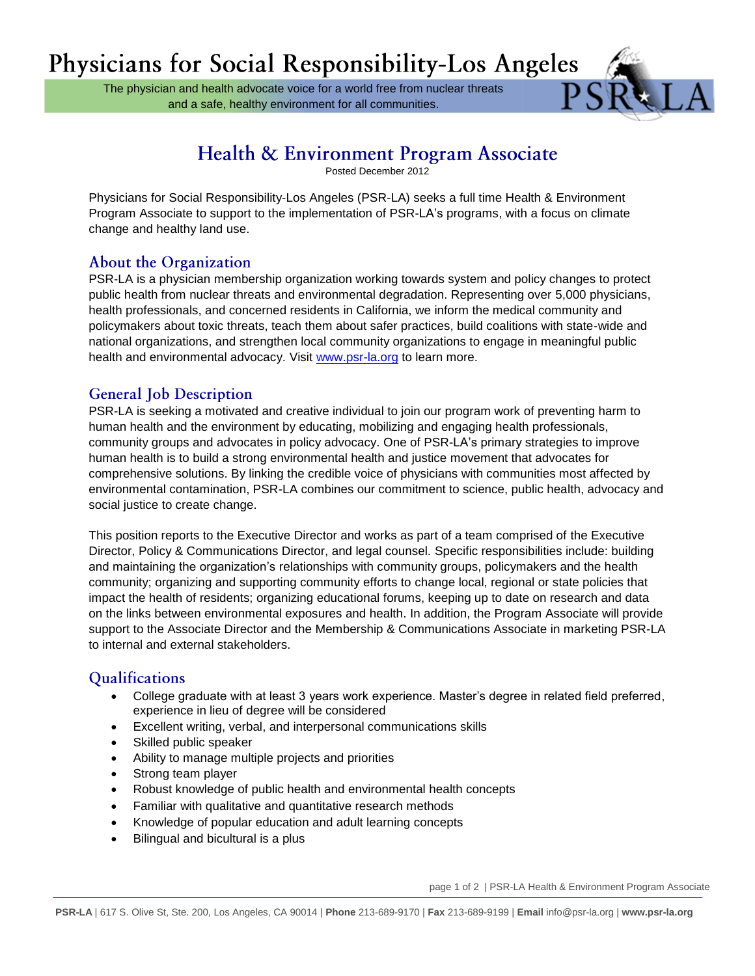The physician and health advocate voice for a world free from nuclear threats and a safe, healthy environment for all communities.



# Health & Environment Program Associate

Posted December 2012

Physicians for Social Responsibility-Los Angeles (PSR-LA) seeks a full time Health & Environment Program Associate to support to the implementation of PSR-LA's programs, with a focus on climate change and healthy land use.

## **About the Organization**

PSR-LA is a physician membership organization working towards system and policy changes to protect public health from nuclear threats and environmental degradation. Representing over 5,000 physicians, health professionals, and concerned residents in California, we inform the medical community and policymakers about toxic threats, teach them about safer practices, build coalitions with state-wide and national organizations, and strengthen local community organizations to engage in meaningful public health and environmental advocacy. Visit [www.psr-la.org](http://www.psr-la.org/) to learn more.

### **General Job Description**

PSR-LA is seeking a motivated and creative individual to join our program work of preventing harm to human health and the environment by educating, mobilizing and engaging health professionals, community groups and advocates in policy advocacy. One of PSR-LA's primary strategies to improve human health is to build a strong environmental health and justice movement that advocates for comprehensive solutions. By linking the credible voice of physicians with communities most affected by environmental contamination, PSR-LA combines our commitment to science, public health, advocacy and social justice to create change.

This position reports to the Executive Director and works as part of a team comprised of the Executive Director, Policy & Communications Director, and legal counsel. Specific responsibilities include: building and maintaining the organization's relationships with community groups, policymakers and the health community; organizing and supporting community efforts to change local, regional or state policies that impact the health of residents; organizing educational forums, keeping up to date on research and data on the links between environmental exposures and health. In addition, the Program Associate will provide support to the Associate Director and the Membership & Communications Associate in marketing PSR-LA to internal and external stakeholders.

# Qualifications

- College graduate with at least 3 years work experience. Master's degree in related field preferred, experience in lieu of degree will be considered
- Excellent writing, verbal, and interpersonal communications skills
- Skilled public speaker
- Ability to manage multiple projects and priorities
- Strong team player
- Robust knowledge of public health and environmental health concepts
- Familiar with qualitative and quantitative research methods
- Knowledge of popular education and adult learning concepts
- Bilingual and bicultural is a plus

page 1 of 2 | PSR-LA Health & Environment Program Associate